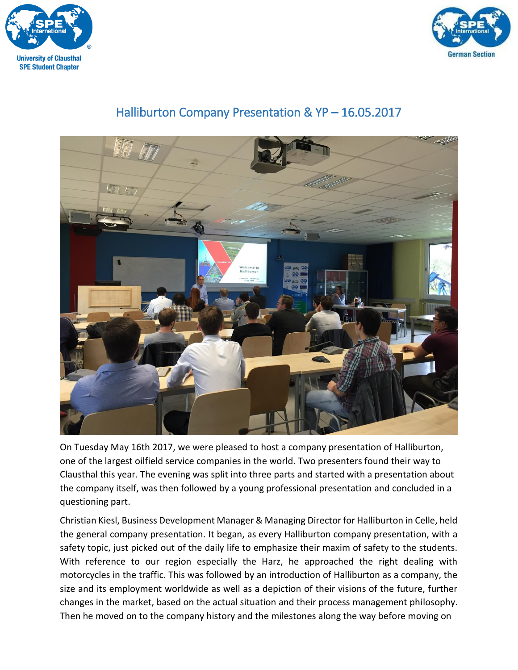



## Halliburton Company Presentation & YP – 16.05.2017



On Tuesday May 16th 2017, we were pleased to host a company presentation of Halliburton, one of the largest oilfield service companies in the world. Two presenters found their way to Clausthal this year. The evening was split into three parts and started with a presentation about the company itself, was then followed by a young professional presentation and concluded in a questioning part.

Christian Kiesl, Business Development Manager & Managing Director for Halliburton in Celle, held the general company presentation. It began, as every Halliburton company presentation, with a safety topic, just picked out of the daily life to emphasize their maxim of safety to the students. With reference to our region especially the Harz, he approached the right dealing with motorcycles in the traffic. This was followed by an introduction of Halliburton as a company, the size and its employment worldwide as well as a depiction of their visions of the future, further changes in the market, based on the actual situation and their process management philosophy. Then he moved on to the company history and the milestones along the way before moving on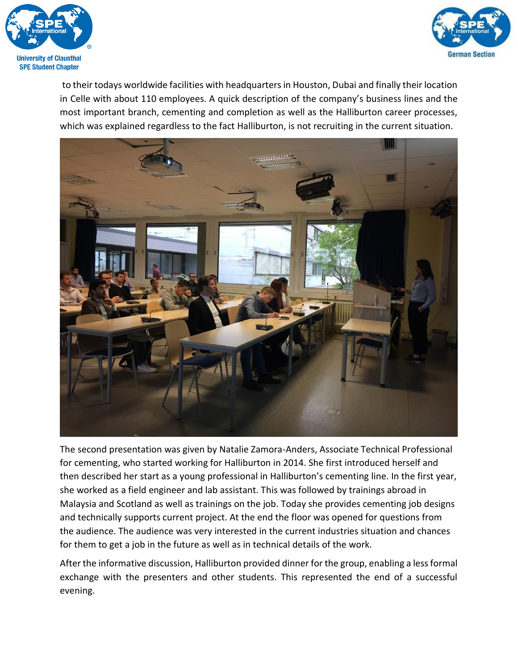



to their todays worldwide facilities with headquarters in Houston, Dubai and finally their location in Celle with about 110 employees. A quick description of the company's business lines and the most important branch, cementing and completion as well as the Halliburton career processes, which was explained regardless to the fact Halliburton, is not recruiting in the current situation.



The second presentation was given by Natalie Zamora-Anders, Associate Technical Professional for cementing, who started working for Halliburton in 2014. She first introduced herself and then described her start as a young professional in Halliburton's cementing line. In the first year, she worked as a field engineer and lab assistant. This was followed by trainings abroad in Malaysia and Scotland as well as trainings on the job. Today she provides cementing job designs and technically supports current project. At the end the floor was opened for questions from the audience. The audience was very interested in the current industries situation and chances for them to get a job in the future as well as in technical details of the work.

After the informative discussion, Halliburton provided dinner for the group, enabling a less formal exchange with the presenters and other students. This represented the end of a successful evening.